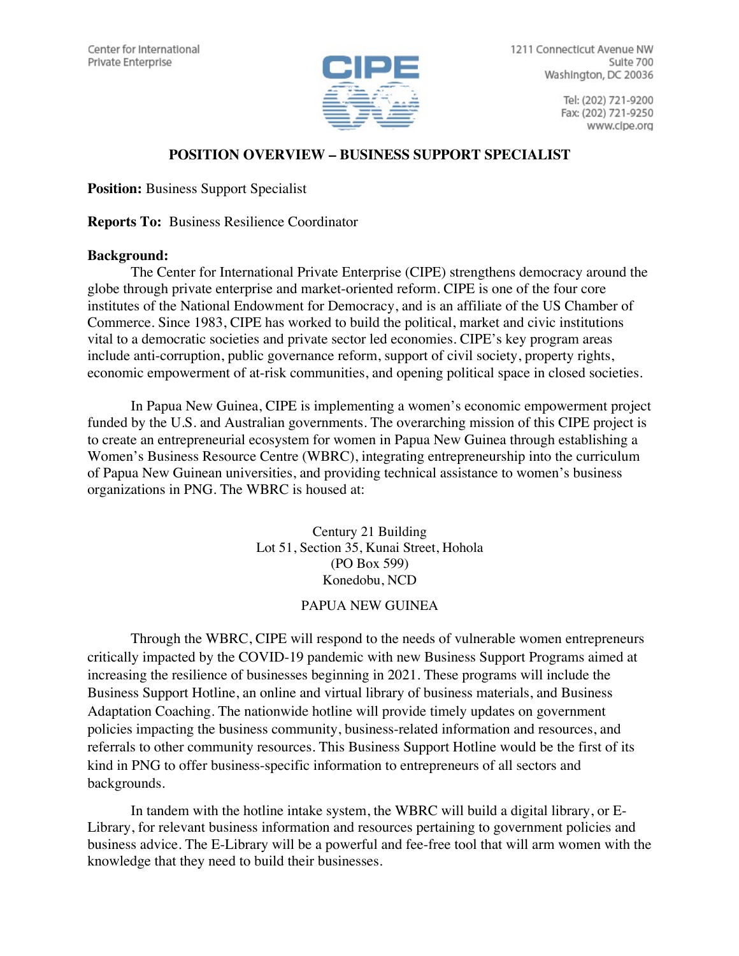

1211 Connecticut Avenue NW Suite 700 Washington, DC 20036

> Tel: (202) 721-9200 Fax: (202) 721-9250 www.cipe.org

## **POSITION OVERVIEW – BUSINESS SUPPORT SPECIALIST**

**Position:** Business Support Specialist

**Reports To:** Business Resilience Coordinator

## **Background:**

The Center for International Private Enterprise (CIPE) strengthens democracy around the globe through private enterprise and market-oriented reform. CIPE is one of the four core institutes of the National Endowment for Democracy, and is an affiliate of the US Chamber of Commerce. Since 1983, CIPE has worked to build the political, market and civic institutions vital to a democratic societies and private sector led economies. CIPE's key program areas include anti-corruption, public governance reform, support of civil society, property rights, economic empowerment of at-risk communities, and opening political space in closed societies.

In Papua New Guinea, CIPE is implementing a women's economic empowerment project funded by the U.S. and Australian governments. The overarching mission of this CIPE project is to create an entrepreneurial ecosystem for women in Papua New Guinea through establishing a Women's Business Resource Centre (WBRC), integrating entrepreneurship into the curriculum of Papua New Guinean universities, and providing technical assistance to women's business organizations in PNG. The WBRC is housed at:

> Century 21 Building Lot 51, Section 35, Kunai Street, Hohola (PO Box 599) Konedobu, NCD

## PAPUA NEW GUINEA

Through the WBRC, CIPE will respond to the needs of vulnerable women entrepreneurs critically impacted by the COVID-19 pandemic with new Business Support Programs aimed at increasing the resilience of businesses beginning in 2021. These programs will include the Business Support Hotline, an online and virtual library of business materials, and Business Adaptation Coaching. The nationwide hotline will provide timely updates on government policies impacting the business community, business-related information and resources, and referrals to other community resources. This Business Support Hotline would be the first of its kind in PNG to offer business-specific information to entrepreneurs of all sectors and backgrounds.

In tandem with the hotline intake system, the WBRC will build a digital library, or E-Library, for relevant business information and resources pertaining to government policies and business advice. The E-Library will be a powerful and fee-free tool that will arm women with the knowledge that they need to build their businesses.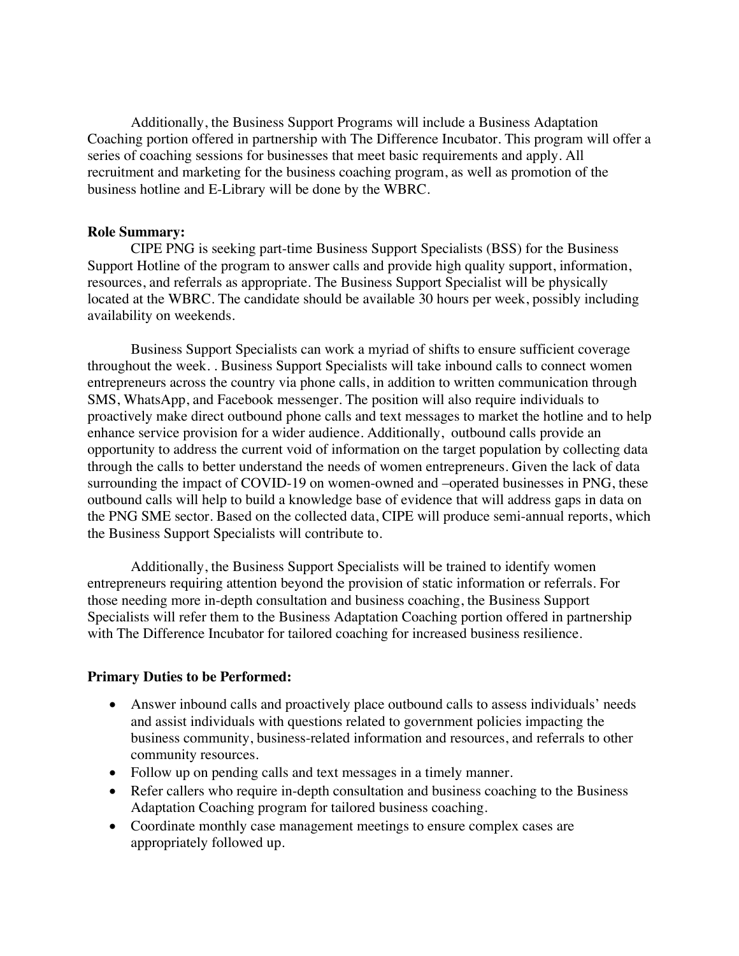Additionally, the Business Support Programs will include a Business Adaptation Coaching portion offered in partnership with The Difference Incubator. This program will offer a series of coaching sessions for businesses that meet basic requirements and apply. All recruitment and marketing for the business coaching program, as well as promotion of the business hotline and E-Library will be done by the WBRC.

### **Role Summary:**

CIPE PNG is seeking part-time Business Support Specialists (BSS) for the Business Support Hotline of the program to answer calls and provide high quality support, information, resources, and referrals as appropriate. The Business Support Specialist will be physically located at the WBRC. The candidate should be available 30 hours per week, possibly including availability on weekends.

Business Support Specialists can work a myriad of shifts to ensure sufficient coverage throughout the week. . Business Support Specialists will take inbound calls to connect women entrepreneurs across the country via phone calls, in addition to written communication through SMS, WhatsApp, and Facebook messenger. The position will also require individuals to proactively make direct outbound phone calls and text messages to market the hotline and to help enhance service provision for a wider audience. Additionally, outbound calls provide an opportunity to address the current void of information on the target population by collecting data through the calls to better understand the needs of women entrepreneurs. Given the lack of data surrounding the impact of COVID-19 on women-owned and –operated businesses in PNG, these outbound calls will help to build a knowledge base of evidence that will address gaps in data on the PNG SME sector. Based on the collected data, CIPE will produce semi-annual reports, which the Business Support Specialists will contribute to.

Additionally, the Business Support Specialists will be trained to identify women entrepreneurs requiring attention beyond the provision of static information or referrals. For those needing more in-depth consultation and business coaching, the Business Support Specialists will refer them to the Business Adaptation Coaching portion offered in partnership with The Difference Incubator for tailored coaching for increased business resilience.

#### **Primary Duties to be Performed:**

- Answer inbound calls and proactively place outbound calls to assess individuals' needs and assist individuals with questions related to government policies impacting the business community, business-related information and resources, and referrals to other community resources.
- Follow up on pending calls and text messages in a timely manner.
- Refer callers who require in-depth consultation and business coaching to the Business Adaptation Coaching program for tailored business coaching.
- Coordinate monthly case management meetings to ensure complex cases are appropriately followed up.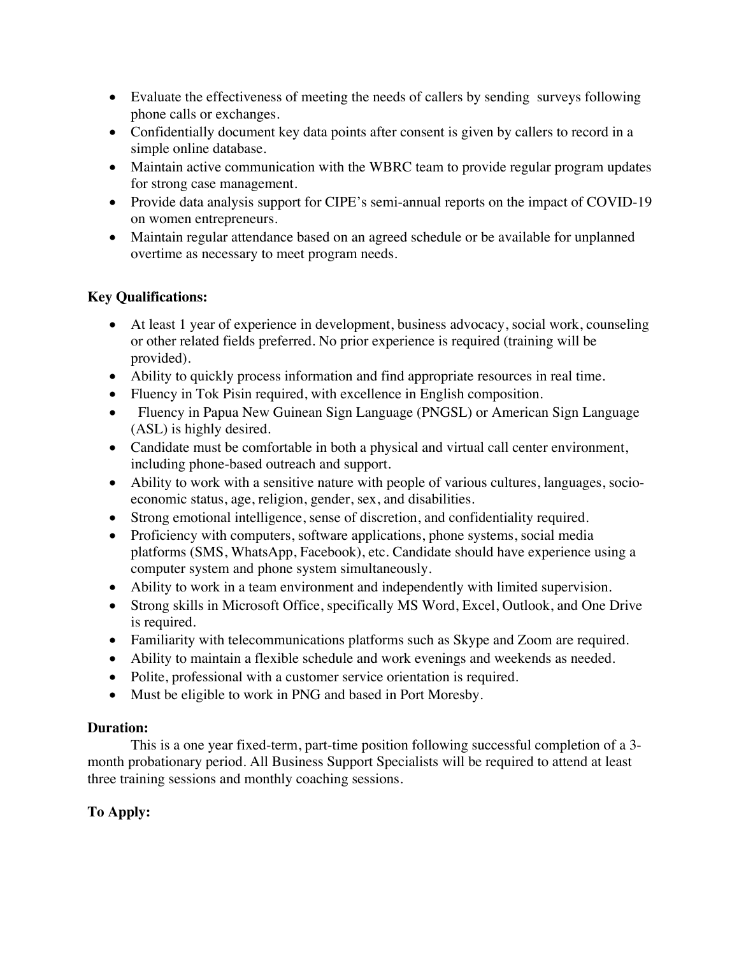- Evaluate the effectiveness of meeting the needs of callers by sending surveys following phone calls or exchanges.
- Confidentially document key data points after consent is given by callers to record in a simple online database.
- Maintain active communication with the WBRC team to provide regular program updates for strong case management.
- Provide data analysis support for CIPE's semi-annual reports on the impact of COVID-19 on women entrepreneurs.
- Maintain regular attendance based on an agreed schedule or be available for unplanned overtime as necessary to meet program needs.

# **Key Qualifications:**

- At least 1 year of experience in development, business advocacy, social work, counseling or other related fields preferred. No prior experience is required (training will be provided).
- Ability to quickly process information and find appropriate resources in real time.
- Fluency in Tok Pisin required, with excellence in English composition.
- Fluency in Papua New Guinean Sign Language (PNGSL) or American Sign Language (ASL) is highly desired.
- Candidate must be comfortable in both a physical and virtual call center environment, including phone-based outreach and support.
- Ability to work with a sensitive nature with people of various cultures, languages, socioeconomic status, age, religion, gender, sex, and disabilities.
- Strong emotional intelligence, sense of discretion, and confidentiality required.
- Proficiency with computers, software applications, phone systems, social media platforms (SMS, WhatsApp, Facebook), etc. Candidate should have experience using a computer system and phone system simultaneously.
- Ability to work in a team environment and independently with limited supervision.
- Strong skills in Microsoft Office, specifically MS Word, Excel, Outlook, and One Drive is required.
- Familiarity with telecommunications platforms such as Skype and Zoom are required.
- Ability to maintain a flexible schedule and work evenings and weekends as needed.
- Polite, professional with a customer service orientation is required.
- Must be eligible to work in PNG and based in Port Moresby.

## **Duration:**

This is a one year fixed-term, part-time position following successful completion of a 3 month probationary period. All Business Support Specialists will be required to attend at least three training sessions and monthly coaching sessions.

# **To Apply:**